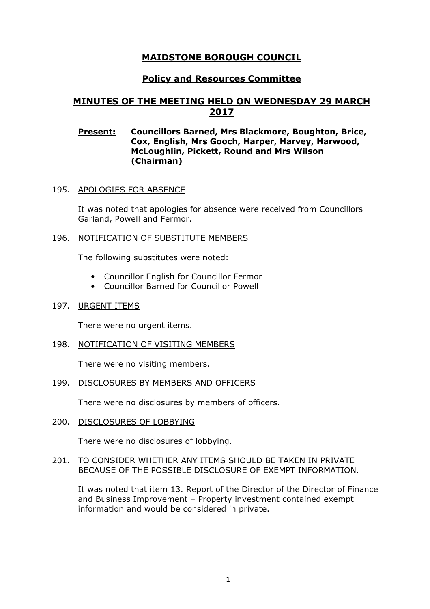# MAIDSTONE BOROUGH COUNCIL

# Policy and Resources Committee

# MINUTES OF THE MEETING HELD ON WEDNESDAY 29 MARCH 2017

## Present: Councillors Barned, Mrs Blackmore, Boughton, Brice, Cox, English, Mrs Gooch, Harper, Harvey, Harwood, McLoughlin, Pickett, Round and Mrs Wilson (Chairman)

## 195. APOLOGIES FOR ABSENCE

It was noted that apologies for absence were received from Councillors Garland, Powell and Fermor.

## 196. NOTIFICATION OF SUBSTITUTE MEMBERS

The following substitutes were noted:

- Councillor English for Councillor Fermor
- Councillor Barned for Councillor Powell

#### 197. URGENT ITEMS

There were no urgent items.

198. NOTIFICATION OF VISITING MEMBERS

There were no visiting members.

#### 199. DISCLOSURES BY MEMBERS AND OFFICERS

There were no disclosures by members of officers.

200. DISCLOSURES OF LOBBYING

There were no disclosures of lobbying.

#### 201. TO CONSIDER WHETHER ANY ITEMS SHOULD BE TAKEN IN PRIVATE BECAUSE OF THE POSSIBLE DISCLOSURE OF EXEMPT INFORMATION.

It was noted that item 13. Report of the Director of the Director of Finance and Business Improvement – Property investment contained exempt information and would be considered in private.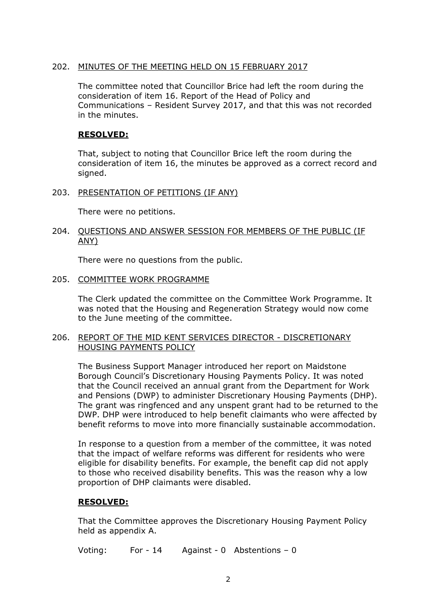# 202. MINUTES OF THE MEETING HELD ON 15 FEBRUARY 2017

The committee noted that Councillor Brice had left the room during the consideration of item 16. Report of the Head of Policy and Communications – Resident Survey 2017, and that this was not recorded in the minutes.

# RESOLVED:

That, subject to noting that Councillor Brice left the room during the consideration of item 16, the minutes be approved as a correct record and signed.

203. PRESENTATION OF PETITIONS (IF ANY)

There were no petitions.

## 204. QUESTIONS AND ANSWER SESSION FOR MEMBERS OF THE PUBLIC (IF ANY)

There were no questions from the public.

#### 205. COMMITTEE WORK PROGRAMME

The Clerk updated the committee on the Committee Work Programme. It was noted that the Housing and Regeneration Strategy would now come to the June meeting of the committee.

## 206. REPORT OF THE MID KENT SERVICES DIRECTOR - DISCRETIONARY HOUSING PAYMENTS POLICY

The Business Support Manager introduced her report on Maidstone Borough Council's Discretionary Housing Payments Policy. It was noted that the Council received an annual grant from the Department for Work and Pensions (DWP) to administer Discretionary Housing Payments (DHP). The grant was ringfenced and any unspent grant had to be returned to the DWP. DHP were introduced to help benefit claimants who were affected by benefit reforms to move into more financially sustainable accommodation.

In response to a question from a member of the committee, it was noted that the impact of welfare reforms was different for residents who were eligible for disability benefits. For example, the benefit cap did not apply to those who received disability benefits. This was the reason why a low proportion of DHP claimants were disabled.

# RESOLVED:

That the Committee approves the Discretionary Housing Payment Policy held as appendix A.

Voting: For - 14 Against - 0 Abstentions – 0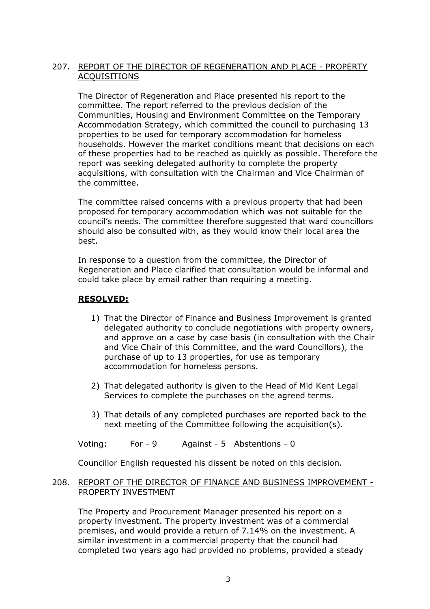# 207. REPORT OF THE DIRECTOR OF REGENERATION AND PLACE - PROPERTY **ACOUISITIONS**

The Director of Regeneration and Place presented his report to the committee. The report referred to the previous decision of the Communities, Housing and Environment Committee on the Temporary Accommodation Strategy, which committed the council to purchasing 13 properties to be used for temporary accommodation for homeless households. However the market conditions meant that decisions on each of these properties had to be reached as quickly as possible. Therefore the report was seeking delegated authority to complete the property acquisitions, with consultation with the Chairman and Vice Chairman of the committee.

The committee raised concerns with a previous property that had been proposed for temporary accommodation which was not suitable for the council's needs. The committee therefore suggested that ward councillors should also be consulted with, as they would know their local area the best.

In response to a question from the committee, the Director of Regeneration and Place clarified that consultation would be informal and could take place by email rather than requiring a meeting.

# RESOLVED:

- 1) That the Director of Finance and Business Improvement is granted delegated authority to conclude negotiations with property owners, and approve on a case by case basis (in consultation with the Chair and Vice Chair of this Committee, and the ward Councillors), the purchase of up to 13 properties, for use as temporary accommodation for homeless persons.
- 2) That delegated authority is given to the Head of Mid Kent Legal Services to complete the purchases on the agreed terms.
- 3) That details of any completed purchases are reported back to the next meeting of the Committee following the acquisition(s).

Voting: For - 9 Against - 5 Abstentions - 0

Councillor English requested his dissent be noted on this decision.

#### 208. REPORT OF THE DIRECTOR OF FINANCE AND BUSINESS IMPROVEMENT - PROPERTY INVESTMENT

The Property and Procurement Manager presented his report on a property investment. The property investment was of a commercial premises, and would provide a return of 7.14% on the investment. A similar investment in a commercial property that the council had completed two years ago had provided no problems, provided a steady